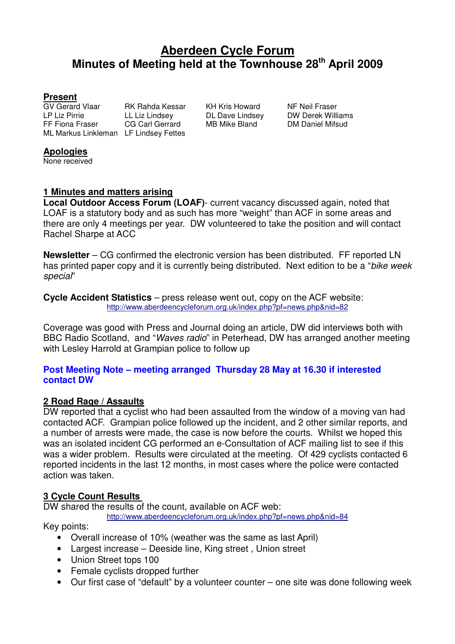# **Aberdeen Cycle Forum Minutes of Meeting held at the Townhouse 28th April 2009**

#### **Present**

GV Gerard Vlaar RK Rahda Kessar KH Kris Howard NF Neil Fraser<br>LP Liz Pirrie LL Liz Lindsey DL Dave Lindsey DW Derek Williams LP Liz Pirrie LL Liz Lindsey DL Dave Lindsey DW Derek Williams FF Fiona Fraser CG Carl Gerrard MB Mike Bland DM Daniel Mifsud ML Markus Linkleman LF Lindsey Fettes

#### **Apologies**

None received

## **1 Minutes and matters arising**

**Local Outdoor Access Forum (LOAF)**- current vacancy discussed again, noted that LOAF is a statutory body and as such has more "weight" than ACF in some areas and there are only 4 meetings per year. DW volunteered to take the position and will contact Rachel Sharpe at ACC

**Newsletter** – CG confirmed the electronic version has been distributed. FF reported LN has printed paper copy and it is currently being distributed. Next edition to be a "bike week" special"

**Cycle Accident Statistics** – press release went out, copy on the ACF website: http://www.aberdeencycleforum.org.uk/index.php?pf=news.php&nid=82

Coverage was good with Press and Journal doing an article, DW did interviews both with BBC Radio Scotland, and "Waves radio" in Peterhead, DW has arranged another meeting with Lesley Harrold at Grampian police to follow up

#### **Post Meeting Note – meeting arranged Thursday 28 May at 16.30 if interested contact DW**

## **2 Road Rage / Assaults**

DW reported that a cyclist who had been assaulted from the window of a moving van had contacted ACF. Grampian police followed up the incident, and 2 other similar reports, and a number of arrests were made, the case is now before the courts. Whilst we hoped this was an isolated incident CG performed an e-Consultation of ACF mailing list to see if this was a wider problem. Results were circulated at the meeting. Of 429 cyclists contacted 6 reported incidents in the last 12 months, in most cases where the police were contacted action was taken.

## **3 Cycle Count Results**

DW shared the results of the count, available on ACF web:

http://www.aberdeencycleforum.org.uk/index.php?pf=news.php&nid=84

Key points:

- Overall increase of 10% (weather was the same as last April)
- Largest increase Deeside line, King street , Union street
- Union Street tops 100
- Female cyclists dropped further
- Our first case of "default" by a volunteer counter one site was done following week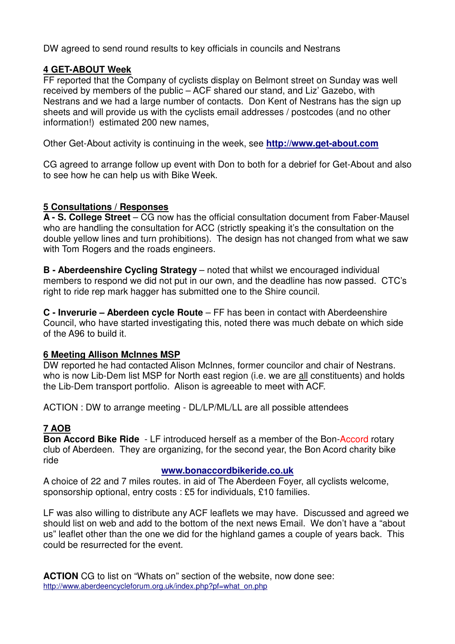DW agreed to send round results to key officials in councils and Nestrans

## **4 GET-ABOUT Week**

FF reported that the Company of cyclists display on Belmont street on Sunday was well received by members of the public – ACF shared our stand, and Liz' Gazebo, with Nestrans and we had a large number of contacts. Don Kent of Nestrans has the sign up sheets and will provide us with the cyclists email addresses / postcodes (and no other information!) estimated 200 new names,

Other Get-About activity is continuing in the week, see **http://www.get-about.com**

CG agreed to arrange follow up event with Don to both for a debrief for Get-About and also to see how he can help us with Bike Week.

#### **5 Consultations / Responses**

**A - S. College Street** – CG now has the official consultation document from Faber-Mausel who are handling the consultation for ACC (strictly speaking it's the consultation on the double yellow lines and turn prohibitions). The design has not changed from what we saw with Tom Rogers and the roads engineers.

**B - Aberdeenshire Cycling Strategy** – noted that whilst we encouraged individual members to respond we did not put in our own, and the deadline has now passed. CTC's right to ride rep mark hagger has submitted one to the Shire council.

**C - Inverurie – Aberdeen cycle Route** – FF has been in contact with Aberdeenshire Council, who have started investigating this, noted there was much debate on which side of the A96 to build it.

## **6 Meeting Allison McInnes MSP**

DW reported he had contacted Alison McInnes, former councilor and chair of Nestrans. who is now Lib-Dem list MSP for North east region (i.e. we are all constituents) and holds the Lib-Dem transport portfolio. Alison is agreeable to meet with ACF.

ACTION : DW to arrange meeting - DL/LP/ML/LL are all possible attendees

# **7 AOB**

**Bon Accord Bike Ride** - LF introduced herself as a member of the Bon-Accord rotary club of Aberdeen. They are organizing, for the second year, the Bon Acord charity bike ride

#### **www.bonaccordbikeride.co.uk**

A choice of 22 and 7 miles routes. in aid of The Aberdeen Foyer, all cyclists welcome, sponsorship optional, entry costs : £5 for individuals, £10 families.

LF was also willing to distribute any ACF leaflets we may have. Discussed and agreed we should list on web and add to the bottom of the next news Email. We don't have a "about us" leaflet other than the one we did for the highland games a couple of years back. This could be resurrected for the event.

**ACTION** CG to list on "Whats on" section of the website, now done see: http://www.aberdeencycleforum.org.uk/index.php?pf=what\_on.php